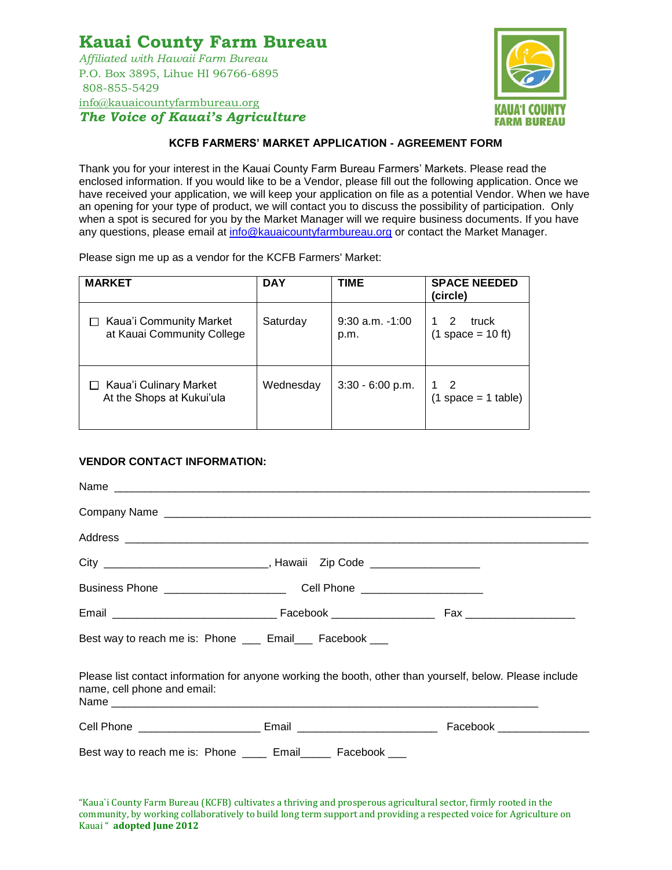# **Kauai County Farm Bureau**

*Affiliated with Hawaii Farm Bureau* P.O. Box 3895, Lihue HI 96766-6895 808-855-5429 [info@kauaicountyfarmbureau.org](mailto:info@kauaicountyfarmbureau.org) *The Voice of Kauai's Agriculture*



### **KCFB FARMERS' MARKET APPLICATION - AGREEMENT FORM**

Thank you for your interest in the Kauai County Farm Bureau Farmers' Markets. Please read the enclosed information. If you would like to be a Vendor, please fill out the following application. Once we have received your application, we will keep your application on file as a potential Vendor. When we have an opening for your type of product, we will contact you to discuss the possibility of participation. Only when a spot is secured for you by the Market Manager will we require business documents. If you have any questions, please email at [info@kauaicountyfarmbureau.org](mailto:info@kauaicountyfarmbureau.org) or contact the Market Manager.

Please sign me up as a vendor for the KCFB Farmers' Market:

| <b>MARKET</b>                                         | <b>DAY</b> | <b>TIME</b>                 | <b>SPACE NEEDED</b><br>(circle)   |
|-------------------------------------------------------|------------|-----------------------------|-----------------------------------|
| Kaua'i Community Market<br>at Kauai Community College | Saturday   | $9:30$ a.m. $-1:00$<br>p.m. | 2<br>truck<br>$(1$ space = 10 ft) |
| Kaua'i Culinary Market<br>At the Shops at Kukui'ula   | Wednesday  | $3:30 - 6:00 p.m.$          | $(1 space = 1 table)$             |

#### **VENDOR CONTACT INFORMATION:**

| Best way to reach me is: Phone ___ Email___ Facebook ___                                                                                |  |
|-----------------------------------------------------------------------------------------------------------------------------------------|--|
| Please list contact information for anyone working the booth, other than yourself, below. Please include<br>name, cell phone and email: |  |
|                                                                                                                                         |  |
| Best way to reach me is: Phone _____ Email_____ Facebook ___                                                                            |  |

"Kaua`i County Farm Bureau (KCFB) cultivates a thriving and prosperous agricultural sector, firmly rooted in the community, by working collaboratively to build long term support and providing a respected voice for Agriculture on Kauai " **adopted June 2012**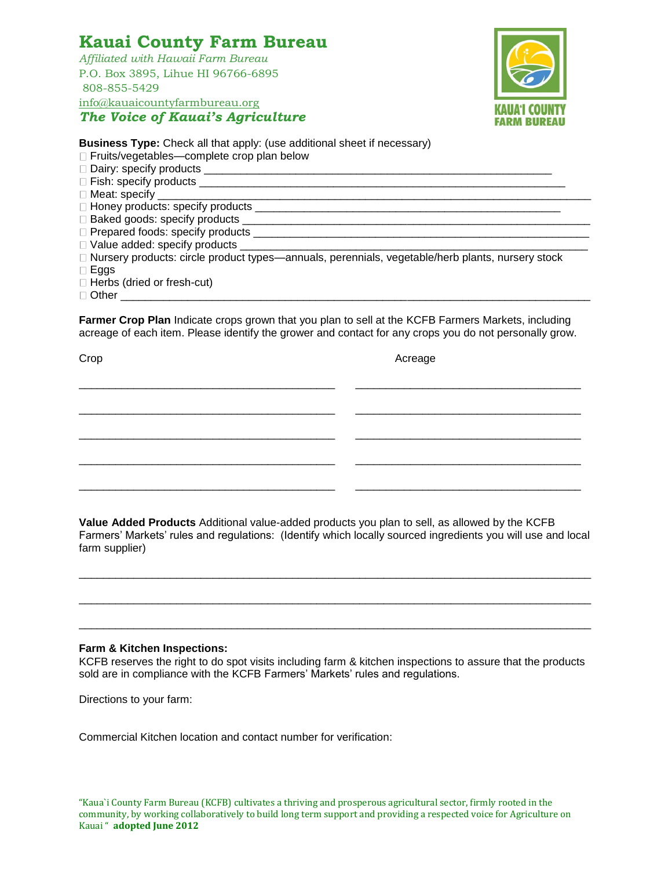## **Kauai County Farm Bureau**

*Affiliated with Hawaii Farm Bureau* P.O. Box 3895, Lihue HI 96766-6895 808-855-5429 [info@kauaicountyfarmbureau.org](mailto:info@kauaicountyfarmbureau.org) *The Voice of Kauai's Agriculture*



**Business Type:** Check all that apply: (use additional sheet if necessary)

□ Fruits/vegetables—complete crop plan below

Dairy: specify products \_\_\_\_\_\_\_\_\_\_\_\_\_\_\_\_\_\_\_\_\_\_\_\_\_\_\_\_\_\_\_\_\_\_\_\_\_\_\_\_\_\_\_\_\_\_\_\_\_\_\_\_\_\_\_\_\_

 $\Box$  Fish: specify products  $\Box$ 

 $\square$  Meat: specify

 $\Box$  Honey products: specify products

Baked goods: specify products

Prepared foods: specify products \_\_\_\_\_\_\_\_\_\_\_\_\_\_\_\_\_\_\_\_\_\_\_\_\_\_\_\_\_\_\_\_\_\_\_\_\_\_\_\_\_\_\_\_\_\_\_\_\_\_\_\_\_\_\_

 $\square$  Value added: specify products \_\_\_\_\_\_

 $\Box$  Nursery products: circle product types—annuals, perennials, vegetable/herb plants, nursery stock  $\Box$  Eggs

□ Herbs (dried or fresh-cut)

 $\Box$  Other  $\Box$ 

**Farmer Crop Plan** Indicate crops grown that you plan to sell at the KCFB Farmers Markets, including acreage of each item. Please identify the grower and contact for any crops you do not personally grow.

\_\_\_\_\_\_\_\_\_\_\_\_\_\_\_\_\_\_\_\_\_\_\_\_\_\_\_\_\_\_\_\_\_\_\_\_\_\_\_\_\_\_ \_\_\_\_\_\_\_\_\_\_\_\_\_\_\_\_\_\_\_\_\_\_\_\_\_\_\_\_\_\_\_\_\_\_\_\_\_

\_\_\_\_\_\_\_\_\_\_\_\_\_\_\_\_\_\_\_\_\_\_\_\_\_\_\_\_\_\_\_\_\_\_\_\_\_\_\_\_\_\_ \_\_\_\_\_\_\_\_\_\_\_\_\_\_\_\_\_\_\_\_\_\_\_\_\_\_\_\_\_\_\_\_\_\_\_\_\_

\_\_\_\_\_\_\_\_\_\_\_\_\_\_\_\_\_\_\_\_\_\_\_\_\_\_\_\_\_\_\_\_\_\_\_\_\_\_\_\_\_\_ \_\_\_\_\_\_\_\_\_\_\_\_\_\_\_\_\_\_\_\_\_\_\_\_\_\_\_\_\_\_\_\_\_\_\_\_\_

\_\_\_\_\_\_\_\_\_\_\_\_\_\_\_\_\_\_\_\_\_\_\_\_\_\_\_\_\_\_\_\_\_\_\_\_\_\_\_\_\_\_ \_\_\_\_\_\_\_\_\_\_\_\_\_\_\_\_\_\_\_\_\_\_\_\_\_\_\_\_\_\_\_\_\_\_\_\_\_

\_\_\_\_\_\_\_\_\_\_\_\_\_\_\_\_\_\_\_\_\_\_\_\_\_\_\_\_\_\_\_\_\_\_\_\_\_\_\_\_\_\_ \_\_\_\_\_\_\_\_\_\_\_\_\_\_\_\_\_\_\_\_\_\_\_\_\_\_\_\_\_\_\_\_\_\_\_\_\_

Crop Acreage

**Value Added Products** Additional value-added products you plan to sell, as allowed by the KCFB Farmers' Markets' rules and regulations: (Identify which locally sourced ingredients you will use and local farm supplier)

\_\_\_\_\_\_\_\_\_\_\_\_\_\_\_\_\_\_\_\_\_\_\_\_\_\_\_\_\_\_\_\_\_\_\_\_\_\_\_\_\_\_\_\_\_\_\_\_\_\_\_\_\_\_\_\_\_\_\_\_\_\_\_\_\_\_\_\_\_\_\_\_\_\_\_\_\_\_\_\_\_\_\_\_

\_\_\_\_\_\_\_\_\_\_\_\_\_\_\_\_\_\_\_\_\_\_\_\_\_\_\_\_\_\_\_\_\_\_\_\_\_\_\_\_\_\_\_\_\_\_\_\_\_\_\_\_\_\_\_\_\_\_\_\_\_\_\_\_\_\_\_\_\_\_\_\_\_\_\_\_\_\_\_\_\_\_\_\_

\_\_\_\_\_\_\_\_\_\_\_\_\_\_\_\_\_\_\_\_\_\_\_\_\_\_\_\_\_\_\_\_\_\_\_\_\_\_\_\_\_\_\_\_\_\_\_\_\_\_\_\_\_\_\_\_\_\_\_\_\_\_\_\_\_\_\_\_\_\_\_\_\_\_\_\_\_\_\_\_\_\_\_\_

#### **Farm & Kitchen Inspections:**

KCFB reserves the right to do spot visits including farm & kitchen inspections to assure that the products sold are in compliance with the KCFB Farmers' Markets' rules and regulations.

Directions to your farm:

Commercial Kitchen location and contact number for verification: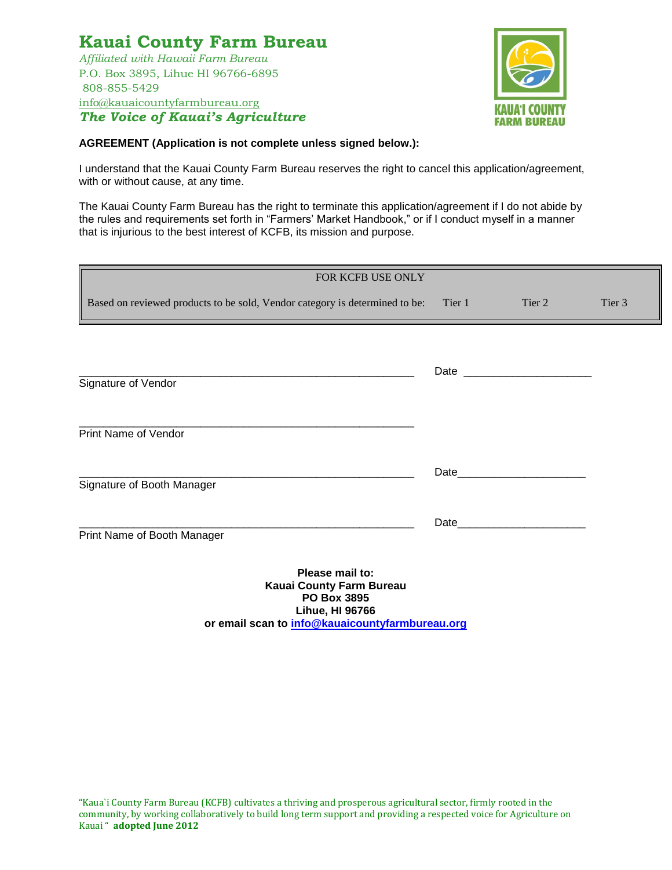## **Kauai County Farm Bureau** *Affiliated with Hawaii Farm Bureau*

P.O. Box 3895, Lihue HI 96766-6895 808-855-5429 [info@kauaicountyfarmbureau.org](mailto:info@kauaicountyfarmbureau.org) *The Voice of Kauai's Agriculture*



### **AGREEMENT (Application is not complete unless signed below.):**

I understand that the Kauai County Farm Bureau reserves the right to cancel this application/agreement, with or without cause, at any time.

The Kauai County Farm Bureau has the right to terminate this application/agreement if I do not abide by the rules and requirements set forth in "Farmers' Market Handbook," or if I conduct myself in a manner that is injurious to the best interest of KCFB, its mission and purpose.

| FOR KCFB USE ONLY                                                           |        |        |        |
|-----------------------------------------------------------------------------|--------|--------|--------|
| Based on reviewed products to be sold, Vendor category is determined to be: | Tier 1 | Tier 2 | Tier 3 |
|                                                                             |        |        |        |
| Signature of Vendor                                                         |        |        |        |
|                                                                             |        |        |        |
| Print Name of Vendor                                                        |        |        |        |
|                                                                             |        | Date   |        |
| Signature of Booth Manager                                                  |        |        |        |
| Print Name of Booth Manager                                                 |        | Date   |        |
| Please mail to:<br>Kauai County Farm Bureau<br><b>PO Box 3895</b>           |        |        |        |

**Lihue, HI 96766 or email scan to [info@kauaicountyfarmbureau.org](mailto:info@kauaicountyfarmbureau.org)**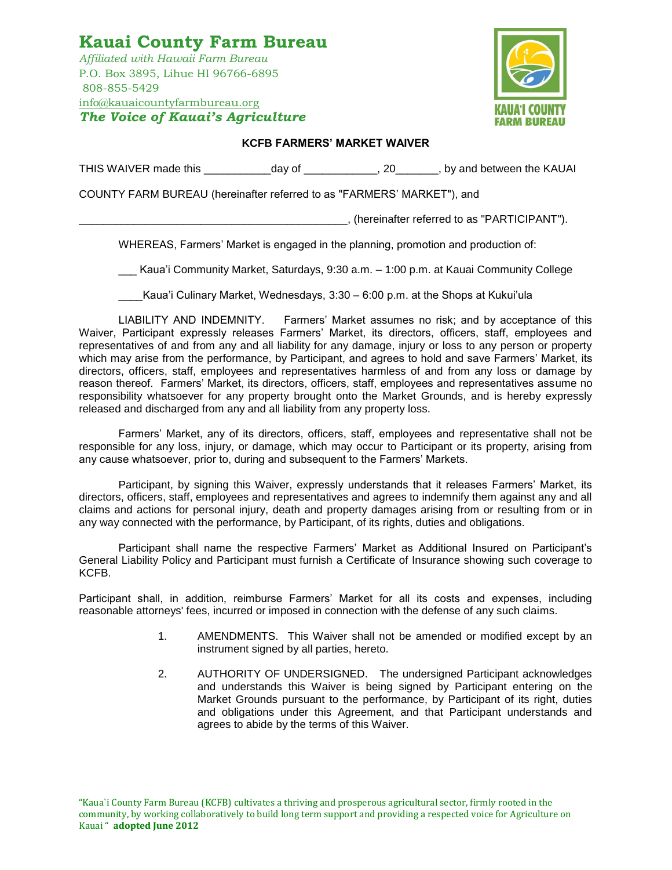## **Kauai County Farm Bureau** *Affiliated with Hawaii Farm Bureau* P.O. Box 3895, Lihue HI 96766-6895 808-855-5429 [info@kauaicountyfarmbureau.org](mailto:info@kauaicountyfarmbureau.org) *The Voice of Kauai's Agriculture*



#### **KCFB FARMERS' MARKET WAIVER**

THIS WAIVER made this \_\_\_\_\_\_\_\_\_\_\_day of \_\_\_\_\_\_\_\_\_\_\_, 20\_\_\_\_\_\_, by and between the KAUAI

COUNTY FARM BUREAU (hereinafter referred to as "FARMERS' MARKET"), and

\_\_\_\_\_\_\_\_\_\_\_\_\_\_\_\_\_\_\_\_\_\_\_\_\_\_\_\_\_\_\_\_\_\_\_\_\_\_\_\_\_\_\_\_, (hereinafter referred to as "PARTICIPANT").

WHEREAS, Farmers' Market is engaged in the planning, promotion and production of:

\_\_\_ Kaua'i Community Market, Saturdays, 9:30 a.m. – 1:00 p.m. at Kauai Community College

\_\_\_\_Kaua'i Culinary Market, Wednesdays, 3:30 – 6:00 p.m. at the Shops at Kukui'ula

LIABILITY AND INDEMNITY. Farmers' Market assumes no risk; and by acceptance of this Waiver, Participant expressly releases Farmers' Market, its directors, officers, staff, employees and representatives of and from any and all liability for any damage, injury or loss to any person or property which may arise from the performance, by Participant, and agrees to hold and save Farmers' Market, its directors, officers, staff, employees and representatives harmless of and from any loss or damage by reason thereof. Farmers' Market, its directors, officers, staff, employees and representatives assume no responsibility whatsoever for any property brought onto the Market Grounds, and is hereby expressly released and discharged from any and all liability from any property loss.

Farmers' Market, any of its directors, officers, staff, employees and representative shall not be responsible for any loss, injury, or damage, which may occur to Participant or its property, arising from any cause whatsoever, prior to, during and subsequent to the Farmers' Markets.

Participant, by signing this Waiver, expressly understands that it releases Farmers' Market, its directors, officers, staff, employees and representatives and agrees to indemnify them against any and all claims and actions for personal injury, death and property damages arising from or resulting from or in any way connected with the performance, by Participant, of its rights, duties and obligations.

Participant shall name the respective Farmers' Market as Additional Insured on Participant's General Liability Policy and Participant must furnish a Certificate of Insurance showing such coverage to KCFB.

Participant shall, in addition, reimburse Farmers' Market for all its costs and expenses, including reasonable attorneys' fees, incurred or imposed in connection with the defense of any such claims.

- 1. AMENDMENTS. This Waiver shall not be amended or modified except by an instrument signed by all parties, hereto.
- 2. AUTHORITY OF UNDERSIGNED. The undersigned Participant acknowledges and understands this Waiver is being signed by Participant entering on the Market Grounds pursuant to the performance, by Participant of its right, duties and obligations under this Agreement, and that Participant understands and agrees to abide by the terms of this Waiver.